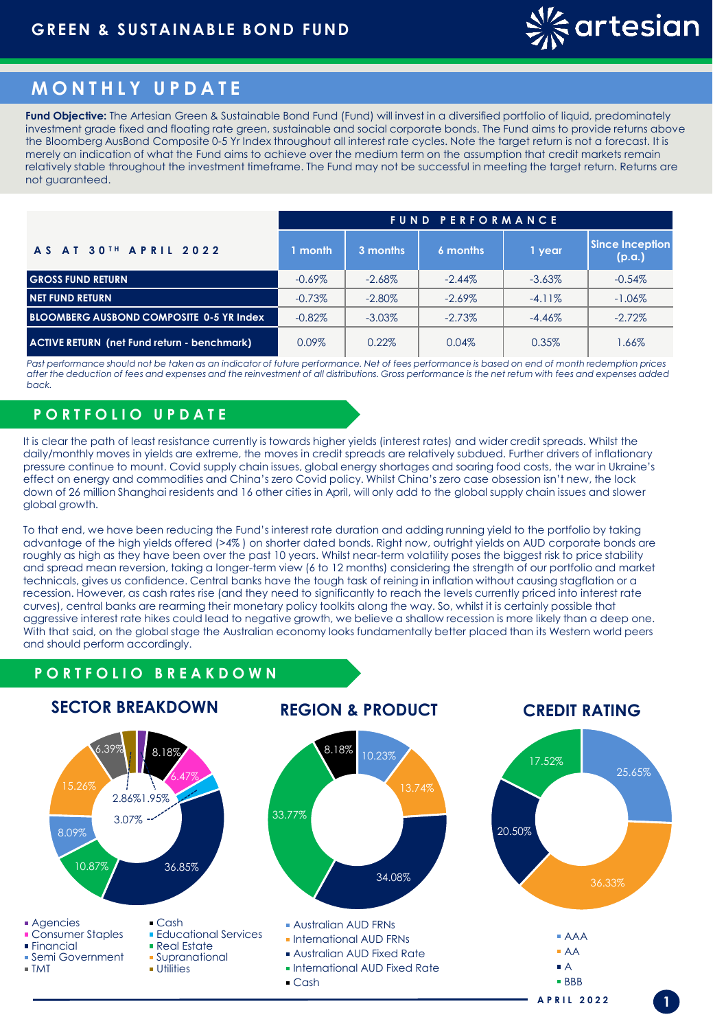

# **M O N T H L Y U P D A T E**

**Fund Objective:** The Artesian Green & Sustainable Bond Fund (Fund) will invest in a diversified portfolio of liquid, predominately investment grade fixed and floating rate green, sustainable and social corporate bonds. The Fund aims to provide returns above the Bloomberg AusBond Composite 0-5 Yr Index throughout all interest rate cycles. Note the target return is not a forecast. It is merely an indication of what the Fund aims to achieve over the medium term on the assumption that credit markets remain relatively stable throughout the investment timeframe. The Fund may not be successful in meeting the target return. Returns are not guaranteed.

|                                                    | <b>FUND PERFORMANCE</b> |           |           |           |                                  |  |
|----------------------------------------------------|-------------------------|-----------|-----------|-----------|----------------------------------|--|
| <b>AS AT 30TH APRIL 2022</b>                       | 1 month.                | 3 months  | 6 months  | 1 year    | <b>Since Inception</b><br>(p.a.) |  |
| <b>GROSS FUND RETURN</b>                           | $-0.69\%$               | $-2.68\%$ | $-2.44\%$ | $-3.63\%$ | $-0.54%$                         |  |
| <b>NET FUND RETURN</b>                             | $-0.73%$                | $-2.80\%$ | $-2.69\%$ | $-4.11\%$ | $-1.06\%$                        |  |
| <b>BLOOMBERG AUSBOND COMPOSITE 0-5 YR Index</b>    | $-0.82%$                | $-3.03\%$ | $-2.73%$  | $-4.46\%$ | $-2.72\%$                        |  |
| <b>ACTIVE RETURN (net Fund return - benchmark)</b> | $0.09\%$                | $0.22\%$  | 0.04%     | 0.35%     | 1.66%                            |  |

Past performance should not be taken as an indicator of future performance. Net of fees performance is based on end of month redemption prices *after the deduction of fees and expenses and the reinvestment of all distributions. Gross performance is the net return with fees and expenses added back.*

## **P O R T F O L I O U P D A T E**

It is clear the path of least resistance currently is towards higher yields (interest rates) and wider credit spreads. Whilst the daily/monthly moves in yields are extreme, the moves in credit spreads are relatively subdued. Further drivers of inflationary pressure continue to mount. Covid supply chain issues, global energy shortages and soaring food costs, the war in Ukraine's effect on energy and commodities and China's zero Covid policy. Whilst China's zero case obsession isn't new, the lock down of 26 million Shanghai residents and 16 other cities in April, will only add to the global supply chain issues and slower global growth.

To that end, we have been reducing the Fund's interest rate duration and adding running yield to the portfolio by taking advantage of the high yields offered (>4% ) on shorter dated bonds. Right now, outright yields on AUD corporate bonds are roughly as high as they have been over the past 10 years. Whilst near-term volatility poses the biggest risk to price stability and spread mean reversion, taking a longer-term view (6 to 12 months) considering the strength of our portfolio and market technicals, gives us confidence. Central banks have the tough task of reining in inflation without causing stagflation or a recession. However, as cash rates rise (and they need to significantly to reach the levels currently priced into interest rate curves), central banks are rearming their monetary policy toolkits along the way. So, whilst it is certainly possible that aggressive interest rate hikes could lead to negative growth, we believe a shallow recession is more likely than a deep one. With that said, on the global stage the Australian economy looks fundamentally better placed than its Western world peers and should perform accordingly.

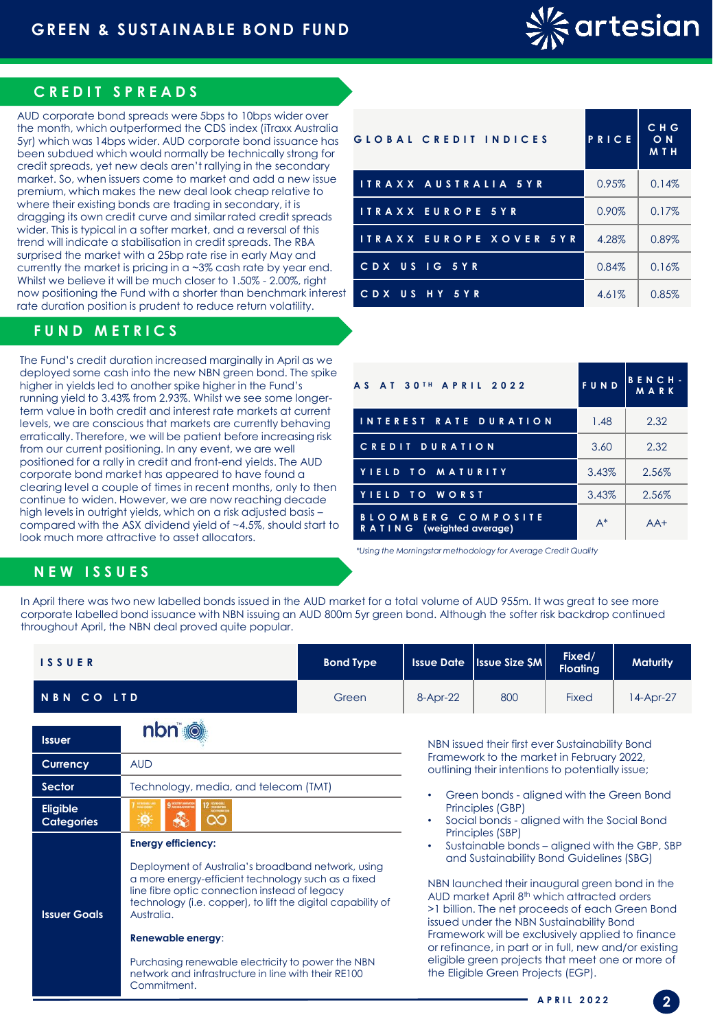

### **C R E D IT S P R E A D S**

AUD corporate bond spreads were 5bps to 10bps wider over the month, which outperformed the CDS index (iTraxx Australia 5yr) which was 14bps wider. AUD corporate bond issuance has been subdued which would normally be technically strong for credit spreads, yet new deals aren't rallying in the secondary market. So, when issuers come to market and add a new issue premium, which makes the new deal look cheap relative to where their existing bonds are trading in secondary, it is dragging its own credit curve and similar rated credit spreads wider. This is typical in a softer market, and a reversal of this trend will indicate a stabilisation in credit spreads. The RBA surprised the market with a 25bp rate rise in early May and currently the market is pricing in a  $\sim$ 3% cash rate by year end. Whilst we believe it will be much closer to 1.50% - 2.00%, right now positioning the Fund with a shorter than benchmark interest rate duration position is prudent to reduce return volatility.

## **F U N D M E T R I C S**

The Fund's credit duration increased marginally in April as we deployed some cash into the new NBN green bond. The spike higher in yields led to another spike higher in the Fund's running yield to 3.43% from 2.93%. Whilst we see some longerterm value in both credit and interest rate markets at current levels, we are conscious that markets are currently behaving erratically. Therefore, we will be patient before increasing risk from our current positioning. In any event, we are well positioned for a rally in credit and front-end yields. The AUD corporate bond market has appeared to have found a clearing level a couple of times in recent months, only to then continue to widen. However, we are now reaching decade high levels in outright yields, which on a risk adjusted basis – compared with the ASX dividend yield of ~4.5%, should start to look much more attractive to asset allocators.

Commitment.

| GLOBAL CREDIT INDICES    | PRICE | C H G<br>O N<br><b>MTH</b> |
|--------------------------|-------|----------------------------|
| ITRAXX AUSTRALIA 5YR     | 0.95% | 0.14%                      |
| <b>ITRAXX EUROPE 5YR</b> | 0.90% | 0.17%                      |
| ITRAXX EUROPE XOVER 5YR  | 4.28% | 0.89%                      |
| CDX US IG 5YR            | 0.84% | 0.16%                      |
| US HY 5YR<br>CDX         | 4.61% | 0.85%                      |

| <b>AS AT 30TH APRIL 2022</b>                          | <b>FUND</b> | BENCH-<br>MARK |  |
|-------------------------------------------------------|-------------|----------------|--|
| INTEREST RATE DURATION                                | 1.48        | 2.32           |  |
| <b>CREDIT DURATION</b>                                | 3.60        | 2.32           |  |
| YIELD TO MATURITY                                     | 3.43%       | 2.56%          |  |
| YIELD TO WORST                                        | 3.43%       | 2.56%          |  |
| BLOOMBERG COMPOSITE<br>R A T I N G (weighted average) | $A^*$       | $AA+$          |  |

*\*Using the Morningstar methodology for Average Credit Quality*

### **N E W I S S U E S**

In April there was two new labelled bonds issued in the AUD market for a total volume of AUD 955m. It was great to see more corporate labelled bond issuance with NBN issuing an AUD 800m 5yr green bond. Although the softer risk backdrop continued throughout April, the NBN deal proved quite popular.

| <b>ISSUER</b>                        |                                                                                                                                                                                                                                                                                                                                                                                                      | <b>Bond Type</b> | <b>Issue Date</b>                                                                                                                                                                                                                                                                                                                                                                                                                                                                                                                                                                                                     | <b>Issue Size SM</b> | Fixed/<br><b>Floating</b>                 | <b>Maturity</b> |  |
|--------------------------------------|------------------------------------------------------------------------------------------------------------------------------------------------------------------------------------------------------------------------------------------------------------------------------------------------------------------------------------------------------------------------------------------------------|------------------|-----------------------------------------------------------------------------------------------------------------------------------------------------------------------------------------------------------------------------------------------------------------------------------------------------------------------------------------------------------------------------------------------------------------------------------------------------------------------------------------------------------------------------------------------------------------------------------------------------------------------|----------------------|-------------------------------------------|-----------------|--|
| <b>NBN CO LTD</b>                    |                                                                                                                                                                                                                                                                                                                                                                                                      | Green            | 8-Apr-22                                                                                                                                                                                                                                                                                                                                                                                                                                                                                                                                                                                                              | 800                  | Fixed                                     | 14-Apr-27       |  |
| <b>Issuer</b>                        | nbn i                                                                                                                                                                                                                                                                                                                                                                                                |                  | NBN issued their first ever Sustainability Bond                                                                                                                                                                                                                                                                                                                                                                                                                                                                                                                                                                       |                      |                                           |                 |  |
| Currency                             | <b>AUD</b>                                                                                                                                                                                                                                                                                                                                                                                           |                  | Framework to the market in February 2022,<br>outlining their intentions to potentially issue;                                                                                                                                                                                                                                                                                                                                                                                                                                                                                                                         |                      |                                           |                 |  |
| Sector                               | Technology, media, and telecom (TMT)                                                                                                                                                                                                                                                                                                                                                                 |                  |                                                                                                                                                                                                                                                                                                                                                                                                                                                                                                                                                                                                                       |                      | Green bonds - aligned with the Green Bond |                 |  |
| <b>Eligible</b><br><b>Categories</b> | လ<br><u>io</u>                                                                                                                                                                                                                                                                                                                                                                                       |                  | Principles (GBP)<br>Social bonds - aligned with the Social Bond<br>$\bullet$<br>Principles (SBP)<br>Sustainable bonds – aligned with the GBP, SBP<br>٠<br>and Sustainability Bond Guidelines (SBG)<br>NBN launched their inaugural green bond in the<br>AUD market April 8 <sup>th</sup> which attracted orders<br>>1 billion. The net proceeds of each Green Bond<br>issued under the NBN Sustainability Bond<br>Framework will be exclusively applied to finance<br>or refinance, in part or in full, new and/or existing<br>eligible green projects that meet one or more of<br>the Eligible Green Projects (EGP). |                      |                                           |                 |  |
| <b>Issuer Goals</b>                  | <b>Energy efficiency:</b><br>Deployment of Australia's broadband network, using<br>a more energy-efficient technology such as a fixed<br>line fibre optic connection instead of legacy<br>technology (i.e. copper), to lift the digital capability of<br>Australia.<br>Renewable energy:<br>Purchasing renewable electricity to power the NBN<br>network and infrastructure in line with their RE100 |                  |                                                                                                                                                                                                                                                                                                                                                                                                                                                                                                                                                                                                                       |                      |                                           |                 |  |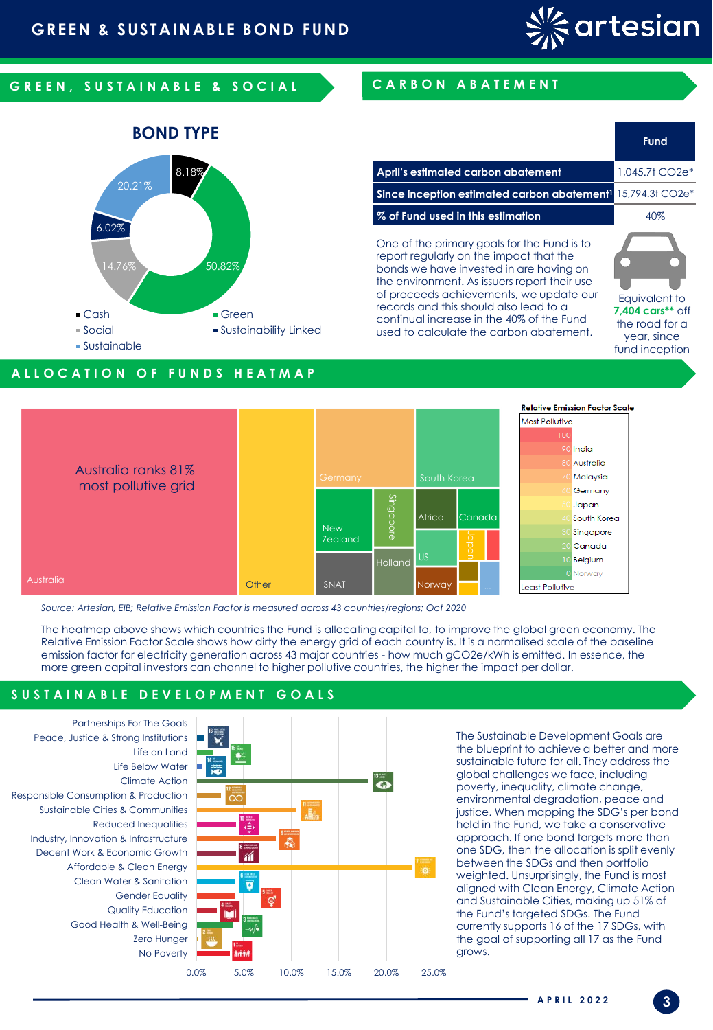

**April's estimated carbon abatement** 1,045.7t CO2e\* **Since inception estimated carbon abatement<sup>1</sup>** 15,794.3t CO2e\*

**% of Fund used in this estimation** 40%

One of the primary goals for the Fund is to report regularly on the impact that the bonds we have invested in are having on the environment. As issuers report their use of proceeds achievements, we update our records and this should also lead to a continual increase in the 40% of the Fund used to calculate the carbon abatement.

**Fund** 

Equivalent to **7,404 cars\*\*** off the road for a year, since fund inception

## G R E E N , SUSTAIN A BLE & SO CIAL CARBON A BATEMENT



### **A L L O C A T I O N O F F U N D S H E A T M A P**



*Source: Artesian, EIB; Relative Emission Factor is measured across 43 countries/regions; Oct 2020*

The heatmap above shows which countries the Fund is allocating capital to, to improve the global green economy. The Relative Emission Factor Scale shows how dirty the energy grid of each country is. It is a normalised scale of the baseline emission factor for electricity generation across 43 major countries - how much gCO2e/kWh is emitted. In essence, the more green capital investors can channel to higher pollutive countries, the higher the impact per dollar.

### S U S T A I N A B L E D E V E L O P M E N T G O A L S

No Poverty Zero Hunger Good Health & Well-Being Quality Education Gender Equality Clean Water & Sanitation Affordable & Clean Energy Decent Work & Economic Growth Industry, Innovation & Infrastructure Reduced Inequalities Sustainable Cities & Communities Responsible Consumption & Production Climate Action Life Below Water Life on Land Peace, Justice & Strong Institutions Partnerships For The Goals



The Sustainable Development Goals are the blueprint to achieve a better and more sustainable future for all. They address the global challenges we face, including poverty, inequality, climate change, environmental degradation, peace and justice. When mapping the SDG's per bond held in the Fund, we take a conservative approach. If one bond targets more than one SDG, then the allocation is split evenly between the SDGs and then portfolio weighted. Unsurprisingly, the Fund is most aligned with Clean Energy, Climate Action and Sustainable Cities, making up 51% of the Fund's targeted SDGs. The Fund currently supports 16 of the 17 SDGs, with the goal of supporting all 17 as the Fund grows.